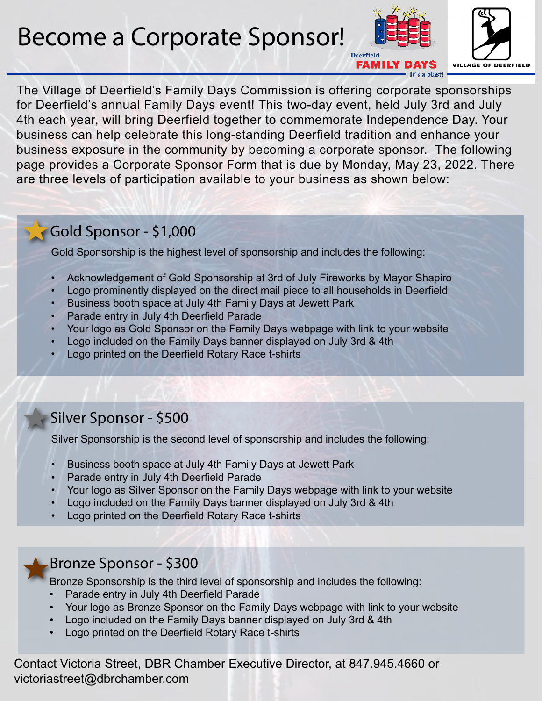Become a Corporate Sponsor!





## Gold Sponsor - \$1,000

Gold Sponsorship is the highest level of sponsorship and includes the following:

- Acknowledgement of Gold Sponsorship at 3rd of July Fireworks by Mayor Shapiro
- Logo prominently displayed on the direct mail piece to all households in Deerfield
- Business booth space at July 4th Family Days at Jewett Park
- Parade entry in July 4th Deerfield Parade
- Your logo as Gold Sponsor on the Family Days webpage with link to your website
- Logo included on the Family Days banner displayed on July 3rd & 4th
- Logo printed on the Deerfield Rotary Race t-shirts

## Silver Sponsor - \$500

Silver Sponsorship is the second level of sponsorship and includes the following:

- Business booth space at July 4th Family Days at Jewett Park
- Parade entry in July 4th Deerfield Parade
- Your logo as Silver Sponsor on the Family Days webpage with link to your website
- Logo included on the Family Days banner displayed on July 3rd & 4th
- Logo printed on the Deerfield Rotary Race t-shirts

## Bronze Sponsor - \$300

Bronze Sponsorship is the third level of sponsorship and includes the following:

- Parade entry in July 4th Deerfield Parade
- Your logo as Bronze Sponsor on the Family Days webpage with link to your website
- Logo included on the Family Days banner displayed on July 3rd & 4th
- Logo printed on the Deerfield Rotary Race t-shirts

Contact Victoria Street, DBR Chamber Executive Director, at 847.945.4660 or victoriastreet@dbrchamber.com